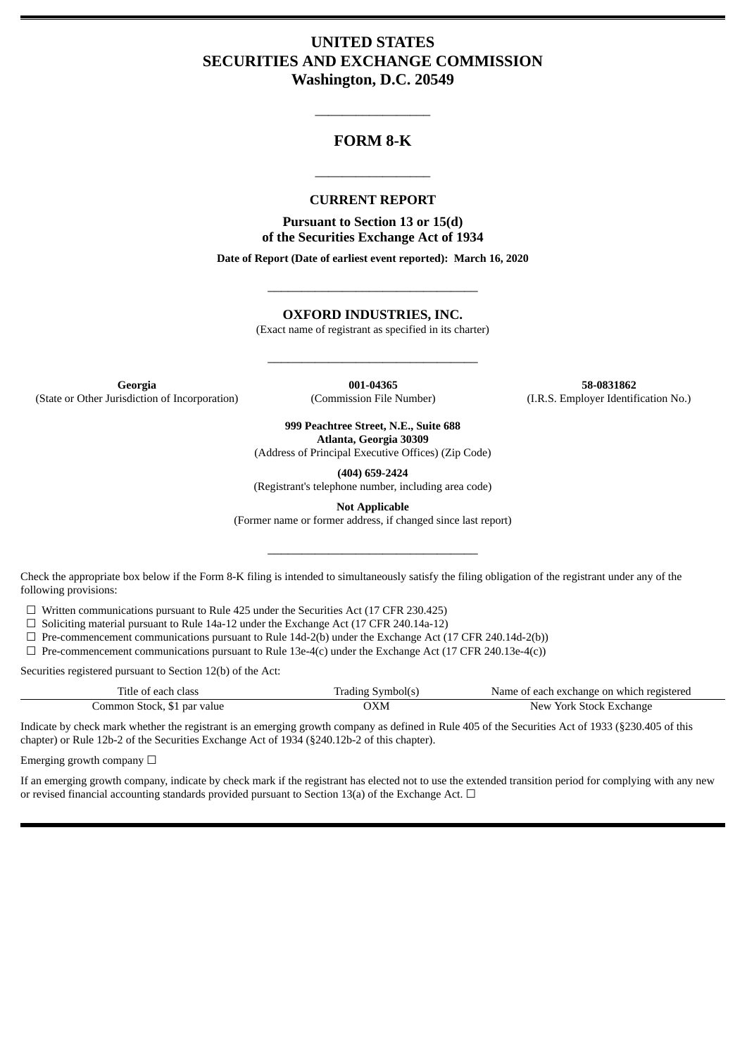# **UNITED STATES SECURITIES AND EXCHANGE COMMISSION Washington, D.C. 20549**

# **FORM 8-K**

\_\_\_\_\_\_\_\_\_\_\_\_\_\_\_\_\_

#### **CURRENT REPORT**

\_\_\_\_\_\_\_\_\_\_\_\_\_\_\_\_\_

**Pursuant to Section 13 or 15(d) of the Securities Exchange Act of 1934**

**Date of Report (Date of earliest event reported): March 16, 2020**

\_\_\_\_\_\_\_\_\_\_\_\_\_\_\_\_\_\_\_\_\_\_\_\_\_\_\_\_\_\_\_

**OXFORD INDUSTRIES, INC.**

(Exact name of registrant as specified in its charter)

\_\_\_\_\_\_\_\_\_\_\_\_\_\_\_\_\_\_\_\_\_\_\_\_\_\_\_\_\_\_\_

**Georgia 001-04365 58-0831862** (State or Other Jurisdiction of Incorporation) (Commission File Number) (I.R.S. Employer Identification No.)

**999 Peachtree Street, N.E., Suite 688 Atlanta, Georgia 30309**

(Address of Principal Executive Offices) (Zip Code)

**(404) 659-2424**

(Registrant's telephone number, including area code)

**Not Applicable**

(Former name or former address, if changed since last report)

\_\_\_\_\_\_\_\_\_\_\_\_\_\_\_\_\_\_\_\_\_\_\_\_\_\_\_\_\_\_\_

Check the appropriate box below if the Form 8-K filing is intended to simultaneously satisfy the filing obligation of the registrant under any of the following provisions:

☐ Written communications pursuant to Rule 425 under the Securities Act (17 CFR 230.425)

 $\Box$  Soliciting material pursuant to Rule 14a-12 under the Exchange Act (17 CFR 240.14a-12)

 $\Box$  Pre-commencement communications pursuant to Rule 14d-2(b) under the Exchange Act (17 CFR 240.14d-2(b))

 $\Box$  Pre-commencement communications pursuant to Rule 13e-4(c) under the Exchange Act (17 CFR 240.13e-4(c))

Securities registered pursuant to Section 12(b) of the Act:

| Title of each class         | Trading Symbol(s) | Name of each exchange on which registered |
|-----------------------------|-------------------|-------------------------------------------|
| Common Stock, \$1 par value | DХM               | New York Stock Exchange                   |

Indicate by check mark whether the registrant is an emerging growth company as defined in Rule 405 of the Securities Act of 1933 (§230.405 of this chapter) or Rule 12b-2 of the Securities Exchange Act of 1934 (§240.12b-2 of this chapter).

Emerging growth company  $\Box$ 

If an emerging growth company, indicate by check mark if the registrant has elected not to use the extended transition period for complying with any new or revised financial accounting standards provided pursuant to Section 13(a) of the Exchange Act.  $\Box$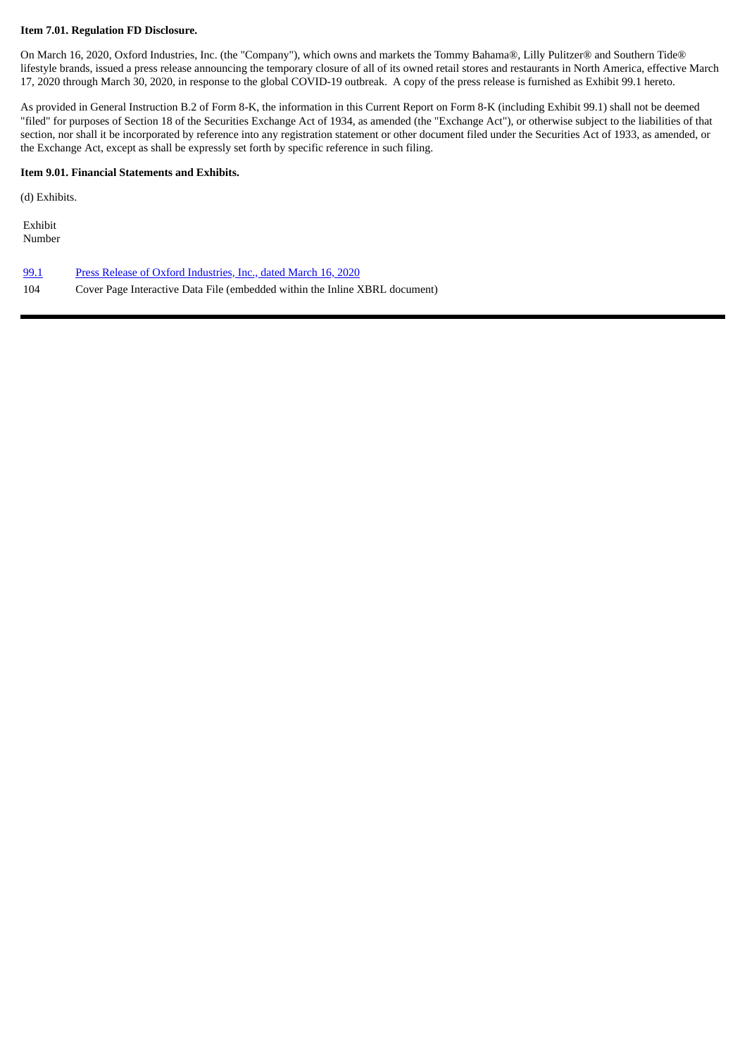#### **Item 7.01. Regulation FD Disclosure.**

On March 16, 2020, Oxford Industries, Inc. (the "Company"), which owns and markets the Tommy Bahama®, Lilly Pulitzer® and Southern Tide® lifestyle brands, issued a press release announcing the temporary closure of all of its owned retail stores and restaurants in North America, effective March 17, 2020 through March 30, 2020, in response to the global COVID-19 outbreak. A copy of the press release is furnished as Exhibit 99.1 hereto.

As provided in General Instruction B.2 of Form 8-K, the information in this Current Report on Form 8-K (including Exhibit 99.1) shall not be deemed "filed" for purposes of Section 18 of the Securities Exchange Act of 1934, as amended (the "Exchange Act"), or otherwise subject to the liabilities of that section, nor shall it be incorporated by reference into any registration statement or other document filed under the Securities Act of 1933, as amended, or the Exchange Act, except as shall be expressly set forth by specific reference in such filing.

### **Item 9.01. Financial Statements and Exhibits.**

(d) Exhibits.

Exhibit Number

- [99.1](#page-3-0) Press Release of Oxford [Industries,](#page-3-0) Inc., dated March 16, 2020
- 104 Cover Page Interactive Data File (embedded within the Inline XBRL document)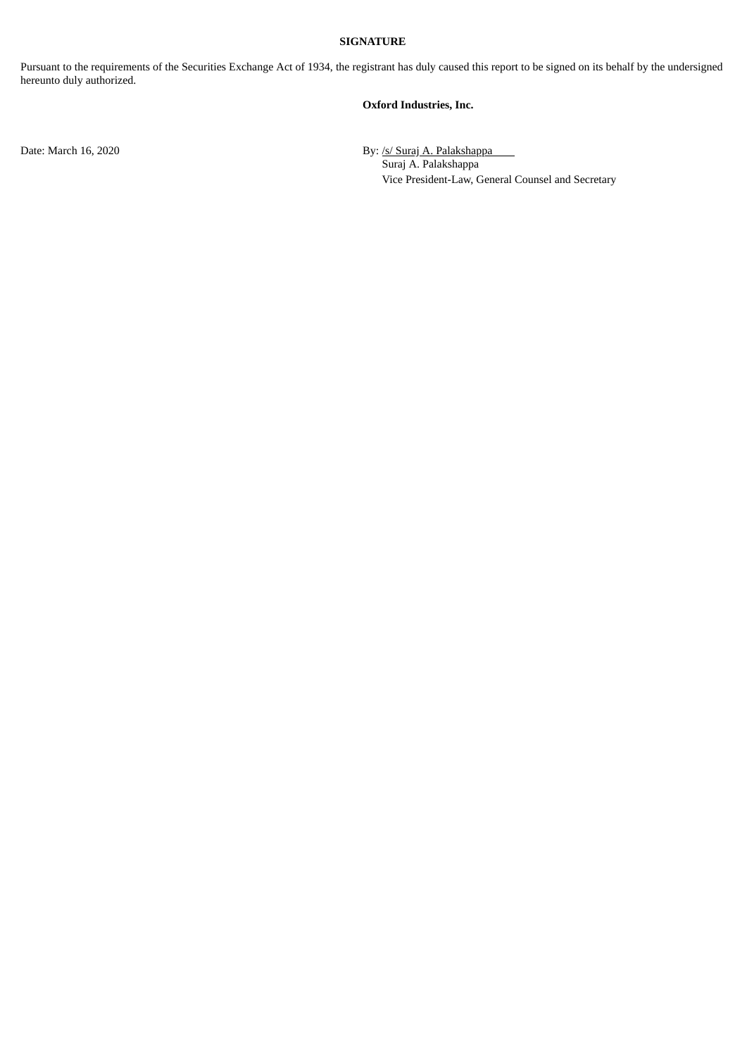#### **SIGNATURE**

Pursuant to the requirements of the Securities Exchange Act of 1934, the registrant has duly caused this report to be signed on its behalf by the undersigned hereunto duly authorized.

#### **Oxford Industries, Inc.**

Date: March 16, 2020 By: /s/ Suraj A. Palakshappa Suraj A. Palakshappa Vice President-Law, General Counsel and Secretary